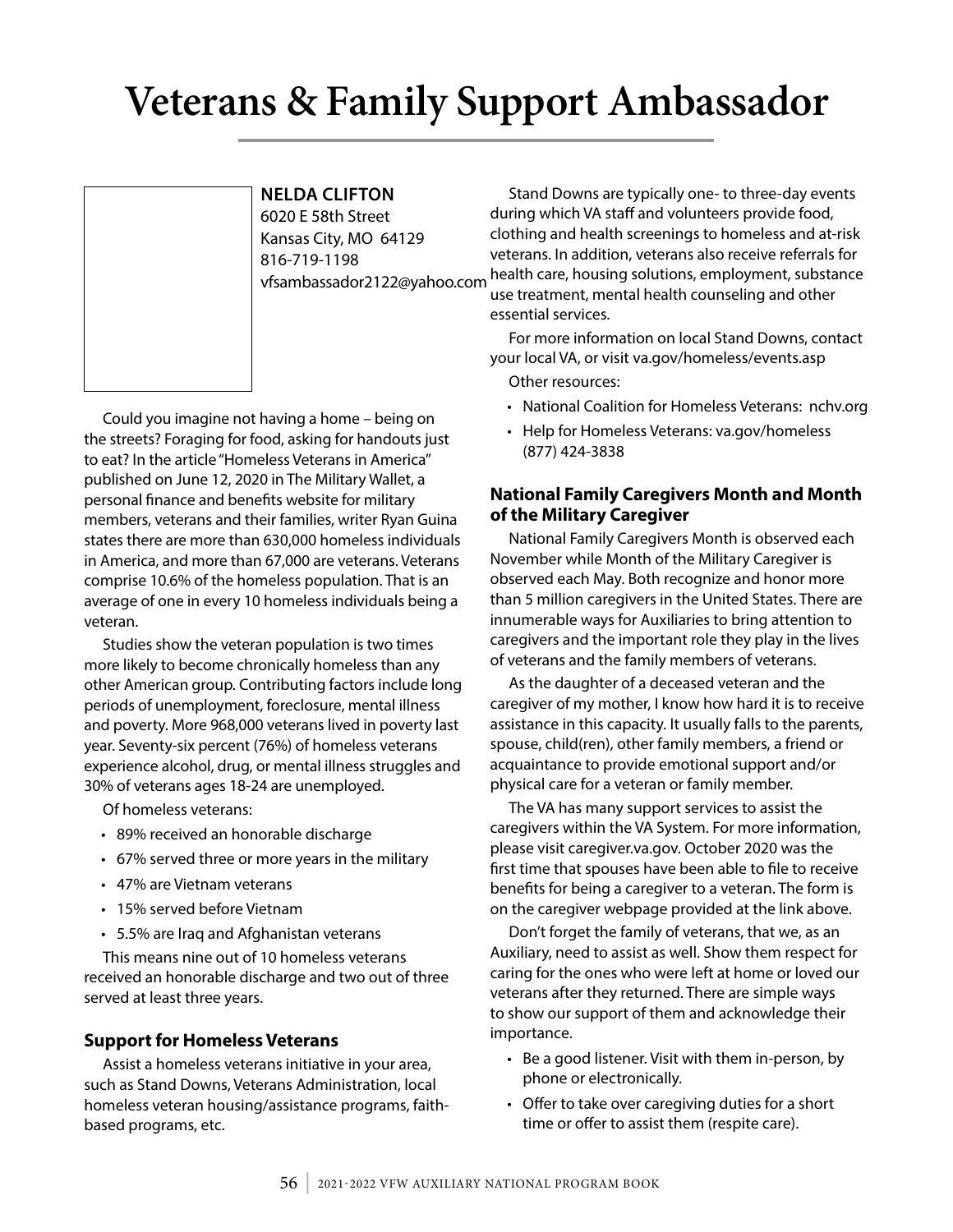# **Veterans & Family Support Ambassador**

#### **NELDA CLIFTON**

6020 E 58th Street Kansas City, MO 64129 816-719-1198 vfsambassador2122@yahoo.com

Could you imagine not having a home – being on the streets? Foraging for food, asking for handouts just to eat? In the article "Homeless Veterans in America" published on June 12, 2020 in The Military Wallet, a personal finance and benefits website for military members, veterans and their families, writer Ryan Guina states there are more than 630,000 homeless individuals in America, and more than 67,000 are veterans. Veterans comprise 10.6% of the homeless population. That is an average of one in every 10 homeless individuals being a veteran.

Studies show the veteran population is two times more likely to become chronically homeless than any other American group. Contributing factors include long periods of unemployment, foreclosure, mental illness and poverty. More 968,000 veterans lived in poverty last year. Seventy-six percent (76%) of homeless veterans experience alcohol, drug, or mental illness struggles and 30% of veterans ages 18-24 are unemployed.

Of homeless veterans:

- 89% received an honorable discharge
- 67% served three or more years in the military
- 47% are Vietnam veterans
- 15% served before Vietnam
- 5.5% are Iraq and Afghanistan veterans

This means nine out of 10 homeless veterans received an honorable discharge and two out of three served at least three years.

#### **Support for Homeless Veterans**

Assist a homeless veterans initiative in your area, such as Stand Downs, Veterans Administration, local homeless veteran housing/assistance programs, faithbased programs, etc.

Stand Downs are typically one- to three-day events during which VA staff and volunteers provide food, clothing and health screenings to homeless and at-risk veterans. In addition, veterans also receive referrals for health care, housing solutions, employment, substance use treatment, mental health counseling and other essential services.

For more information on local Stand Downs, contact your local VA, or visit va.gov/homeless/events.asp

- Other resources:
- National Coalition for Homeless Veterans: nchv.org
- Help for Homeless Veterans: va.gov/homeless (877) 424-3838

#### **National Family Caregivers Month and Month of the Military Caregiver**

National Family Caregivers Month is observed each November while Month of the Military Caregiver is observed each May. Both recognize and honor more than 5 million caregivers in the United States. There are innumerable ways for Auxiliaries to bring attention to caregivers and the important role they play in the lives of veterans and the family members of veterans.

As the daughter of a deceased veteran and the caregiver of my mother, I know how hard it is to receive assistance in this capacity. It usually falls to the parents, spouse, child(ren), other family members, a friend or acquaintance to provide emotional support and/or physical care for a veteran or family member.

The VA has many support services to assist the caregivers within the VA System. For more information, please visit caregiver.va.gov. October 2020 was the first time that spouses have been able to file to receive benefits for being a caregiver to a veteran. The form is on the caregiver webpage provided at the link above.

Don't forget the family of veterans, that we, as an Auxiliary, need to assist as well. Show them respect for caring for the ones who were left at home or loved our veterans after they returned. There are simple ways to show our support of them and acknowledge their importance.

- Be a good listener. Visit with them in-person, by phone or electronically.
- Offer to take over caregiving duties for a short time or offer to assist them (respite care).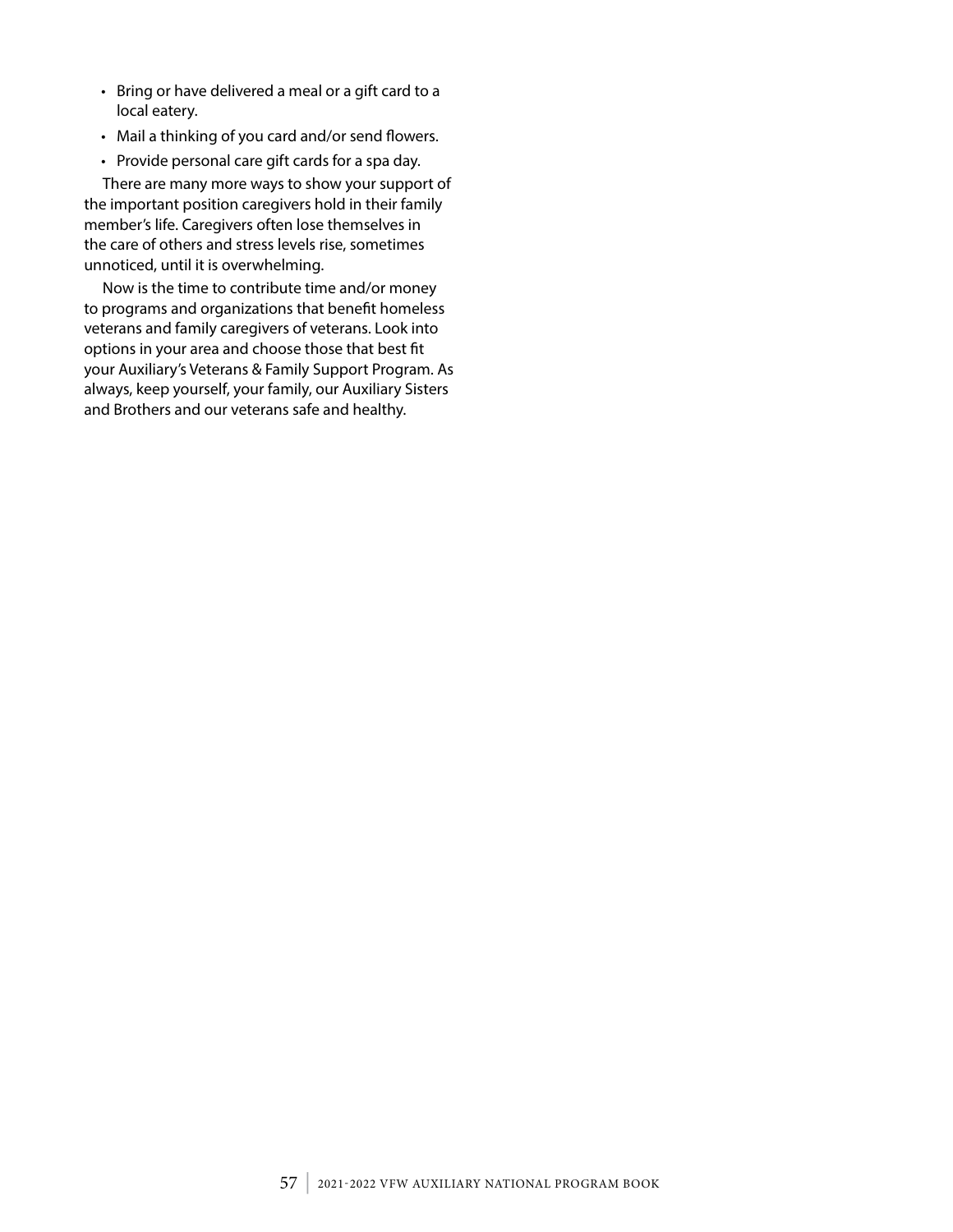- Bring or have delivered a meal or a gift card to a local eatery.
- Mail a thinking of you card and/or send flowers.
- Provide personal care gift cards for a spa day.

There are many more ways to show your support of the important position caregivers hold in their family member's life. Caregivers often lose themselves in the care of others and stress levels rise, sometimes unnoticed, until it is overwhelming.

Now is the time to contribute time and/or money to programs and organizations that benefit homeless veterans and family caregivers of veterans. Look into options in your area and choose those that best fit your Auxiliary's Veterans & Family Support Program. As always, keep yourself, your family, our Auxiliary Sisters and Brothers and our veterans safe and healthy.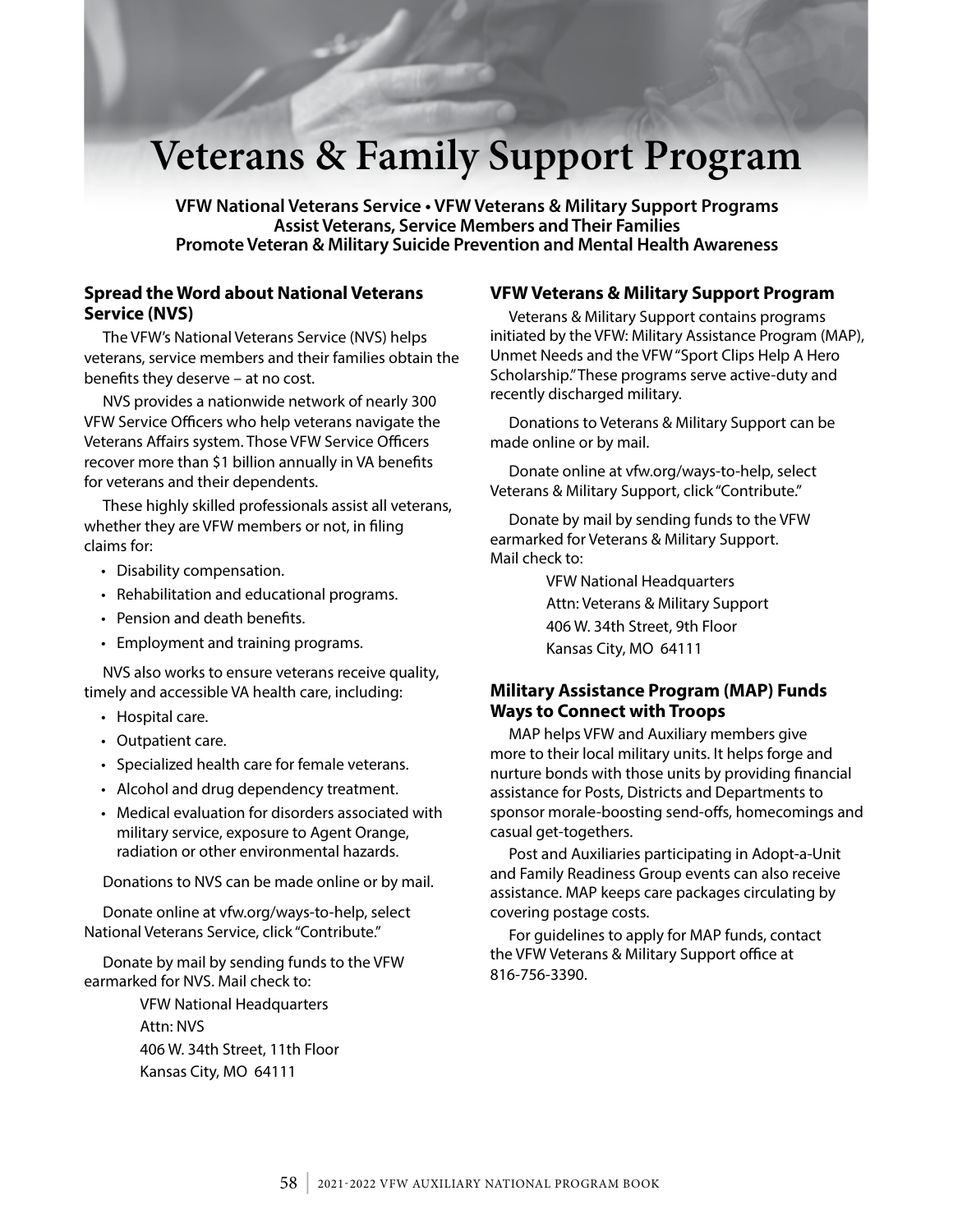## **Veterans & Family Support Program**

**VFW National Veterans Service • VFW Veterans & Military Support Programs Assist Veterans, Service Members and Their Families Promote Veteran & Military Suicide Prevention and Mental Health Awareness**

#### **Spread the Word about National Veterans Service (NVS)**

The VFW's National Veterans Service (NVS) helps veterans, service members and their families obtain the benefits they deserve – at no cost.

NVS provides a nationwide network of nearly 300 VFW Service Officers who help veterans navigate the Veterans Affairs system. Those VFW Service Officers recover more than \$1 billion annually in VA benefits for veterans and their dependents.

These highly skilled professionals assist all veterans, whether they are VFW members or not, in filing claims for:

- Disability compensation.
- Rehabilitation and educational programs.
- Pension and death benefits.
- Employment and training programs.

NVS also works to ensure veterans receive quality, timely and accessible VA health care, including:

- Hospital care.
- Outpatient care.
- Specialized health care for female veterans.
- Alcohol and drug dependency treatment.
- Medical evaluation for disorders associated with military service, exposure to Agent Orange, radiation or other environmental hazards.

Donations to NVS can be made online or by mail.

Donate online at vfw.org/ways-to-help, select National Veterans Service, click "Contribute."

Donate by mail by sending funds to the VFW earmarked for NVS. Mail check to:

> VFW National Headquarters Attn: NVS 406 W. 34th Street, 11th Floor Kansas City, MO 64111

#### **VFW Veterans & Military Support Program**

Veterans & Military Support contains programs initiated by the VFW: Military Assistance Program (MAP), Unmet Needs and the VFW "Sport Clips Help A Hero Scholarship." These programs serve active-duty and recently discharged military.

Donations to Veterans & Military Support can be made online or by mail.

Donate online at vfw.org/ways-to-help, select Veterans & Military Support, click "Contribute."

Donate by mail by sending funds to the VFW earmarked for Veterans & Military Support. Mail check to:

> VFW National Headquarters Attn: Veterans & Military Support 406 W. 34th Street, 9th Floor Kansas City, MO 64111

#### **Military Assistance Program (MAP) Funds Ways to Connect with Troops**

MAP helps VFW and Auxiliary members give more to their local military units. It helps forge and nurture bonds with those units by providing financial assistance for Posts, Districts and Departments to sponsor morale-boosting send-offs, homecomings and casual get-togethers.

Post and Auxiliaries participating in Adopt-a-Unit and Family Readiness Group events can also receive assistance. MAP keeps care packages circulating by covering postage costs.

For guidelines to apply for MAP funds, contact the VFW Veterans & Military Support office at 816-756-3390.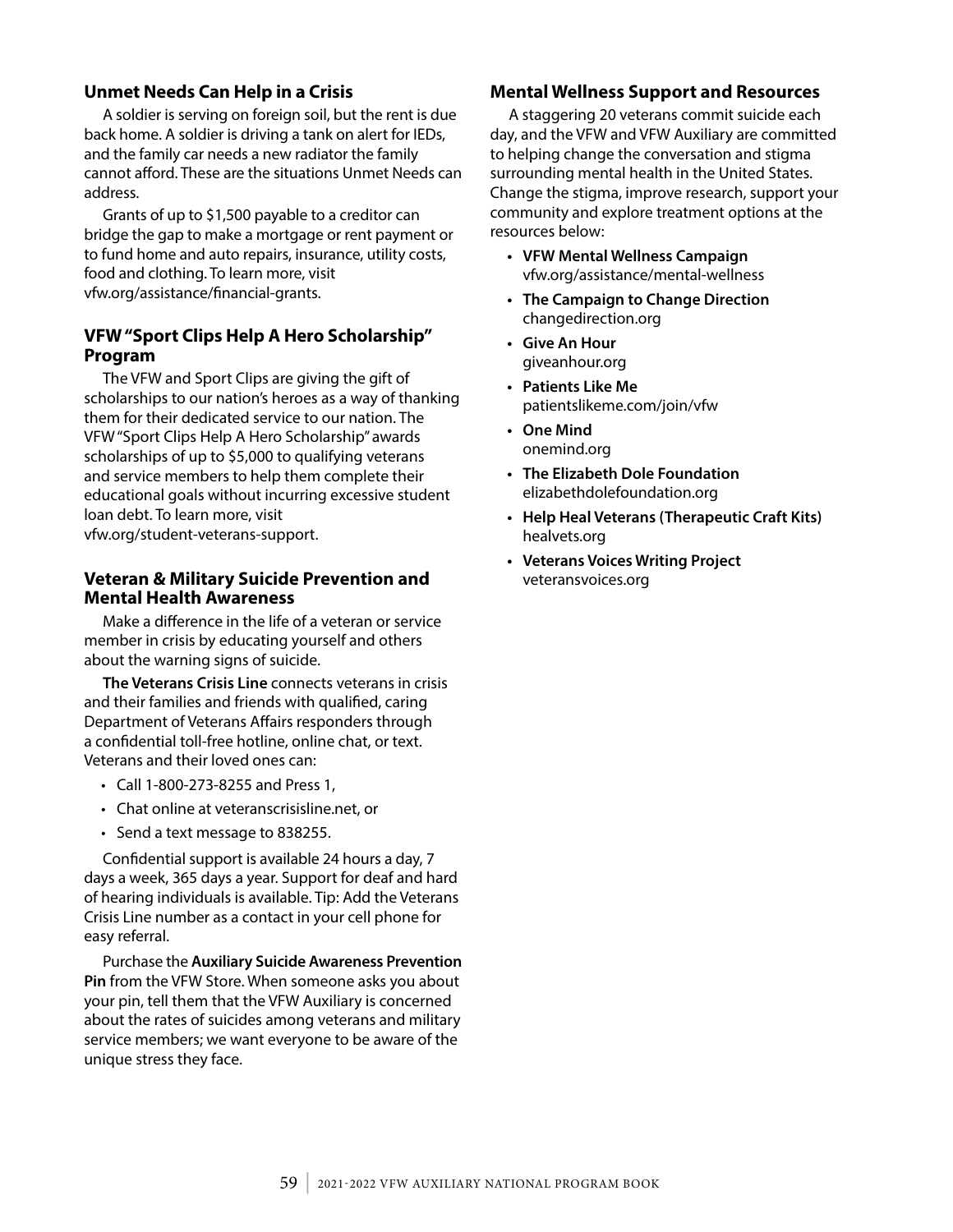#### **Unmet Needs Can Help in a Crisis**

A soldier is serving on foreign soil, but the rent is due back home. A soldier is driving a tank on alert for IEDs, and the family car needs a new radiator the family cannot afford. These are the situations Unmet Needs can address.

Grants of up to \$1,500 payable to a creditor can bridge the gap to make a mortgage or rent payment or to fund home and auto repairs, insurance, utility costs, food and clothing. To learn more, visit vfw.org/assistance/financial-grants.

#### **VFW "Sport Clips Help A Hero Scholarship" Program**

The VFW and Sport Clips are giving the gift of scholarships to our nation's heroes as a way of thanking them for their dedicated service to our nation. The VFW "Sport Clips Help A Hero Scholarship" awards scholarships of up to \$5,000 to qualifying veterans and service members to help them complete their educational goals without incurring excessive student loan debt. To learn more, visit vfw.org/student-veterans-support.

#### **Veteran & Military Suicide Prevention and Mental Health Awareness**

Make a difference in the life of a veteran or service member in crisis by educating yourself and others about the warning signs of suicide.

**The Veterans Crisis Line** connects veterans in crisis and their families and friends with qualified, caring Department of Veterans Affairs responders through a confidential toll-free hotline, online chat, or text. Veterans and their loved ones can:

- Call 1-800-273-8255 and Press 1,
- Chat online at veteranscrisisline.net, or
- Send a text message to 838255.

Confidential support is available 24 hours a day, 7 days a week, 365 days a year. Support for deaf and hard of hearing individuals is available. Tip: Add the Veterans Crisis Line number as a contact in your cell phone for easy referral.

Purchase the **Auxiliary Suicide Awareness Prevention Pin** from the VFW Store. When someone asks you about your pin, tell them that the VFW Auxiliary is concerned about the rates of suicides among veterans and military service members; we want everyone to be aware of the unique stress they face.

#### **Mental Wellness Support and Resources**

A staggering 20 veterans commit suicide each day, and the VFW and VFW Auxiliary are committed to helping change the conversation and stigma surrounding mental health in the United States. Change the stigma, improve research, support your community and explore treatment options at the resources below:

- **• VFW Mental Wellness Campaign**  vfw.org/assistance/mental-wellness
- **• The Campaign to Change Direction**  changedirection.org
- **• Give An Hour**  giveanhour.org
- **• Patients Like Me** patientslikeme.com/join/vfw
- **• One Mind** onemind.org
- **• The Elizabeth Dole Foundation** elizabethdolefoundation.org
- **• Help Heal Veterans (Therapeutic Craft Kits)** healvets.org
- **• Veterans Voices Writing Project** veteransvoices.org